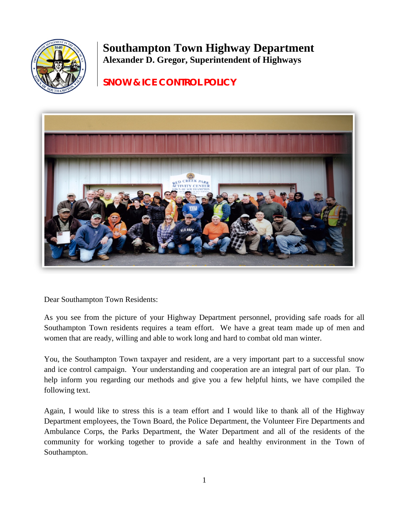

# **Southampton Town Highway Department Alexander D. Gregor, Superintendent of Highways**

## **SNOW & ICE CONTROL POLICY**



Dear Southampton Town Residents:

As you see from the picture of your Highway Department personnel, providing safe roads for all Southampton Town residents requires a team effort. We have a great team made up of men and women that are ready, willing and able to work long and hard to combat old man winter.

You, the Southampton Town taxpayer and resident, are a very important part to a successful snow and ice control campaign. Your understanding and cooperation are an integral part of our plan. To help inform you regarding our methods and give you a few helpful hints, we have compiled the following text.

Again, I would like to stress this is a team effort and I would like to thank all of the Highway Department employees, the Town Board, the Police Department, the Volunteer Fire Departments and Ambulance Corps, the Parks Department, the Water Department and all of the residents of the community for working together to provide a safe and healthy environment in the Town of Southampton.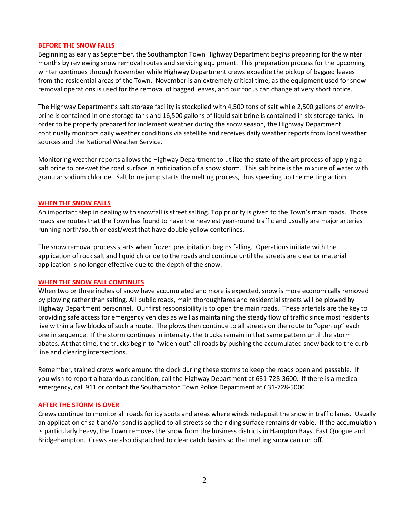#### **BEFORE THE SNOW FALLS**

Beginning as early as September, the Southampton Town Highway Department begins preparing for the winter months by reviewing snow removal routes and servicing equipment. This preparation process for the upcoming winter continues through November while Highway Department crews expedite the pickup of bagged leaves from the residential areas of the Town. November is an extremely critical time, as the equipment used for snow removal operations is used for the removal of bagged leaves, and our focus can change at very short notice.

The Highway Department's salt storage facility is stockpiled with 4,500 tons of salt while 2,500 gallons of envirobrine is contained in one storage tank and 16,500 gallons of liquid salt brine is contained in six storage tanks. In order to be properly prepared for inclement weather during the snow season, the Highway Department continually monitors daily weather conditions via satellite and receives daily weather reports from local weather sources and the National Weather Service.

Monitoring weather reports allows the Highway Department to utilize the state of the art process of applying a salt brine to pre-wet the road surface in anticipation of a snow storm. This salt brine is the mixture of water with granular sodium chloride. Salt brine jump starts the melting process, thus speeding up the melting action.

#### **WHEN THE SNOW FALLS**

An important step in dealing with snowfall is street salting. Top priority is given to the Town's main roads. Those roads are routes that the Town has found to have the heaviest year-round traffic and usually are major arteries running north/south or east/west that have double yellow centerlines.

The snow removal process starts when frozen precipitation begins falling. Operations initiate with the application of rock salt and liquid chloride to the roads and continue until the streets are clear or material application is no longer effective due to the depth of the snow.

#### **WHEN THE SNOW FALL CONTINUES**

When two or three inches of snow have accumulated and more is expected, snow is more economically removed by plowing rather than salting. All public roads, main thoroughfares and residential streets will be plowed by Highway Department personnel. Our first responsibility is to open the main roads. These arterials are the key to providing safe access for emergency vehicles as well as maintaining the steady flow of traffic since most residents live within a few blocks of such a route. The plows then continue to all streets on the route to "open up" each one in sequence. If the storm continues in intensity, the trucks remain in that same pattern until the storm abates. At that time, the trucks begin to "widen out" all roads by pushing the accumulated snow back to the curb line and clearing intersections.

Remember, trained crews work around the clock during these storms to keep the roads open and passable. If you wish to report a hazardous condition, call the Highway Department at 631-728-3600. If there is a medical emergency, call 911 or contact the Southampton Town Police Department at 631-728-5000.

#### **AFTER THE STORM IS OVER**

Crews continue to monitor all roads for icy spots and areas where winds redeposit the snow in traffic lanes. Usually an application of salt and/or sand is applied to all streets so the riding surface remains drivable. If the accumulation is particularly heavy, the Town removes the snow from the business districts in Hampton Bays, East Quogue and Bridgehampton. Crews are also dispatched to clear catch basins so that melting snow can run off.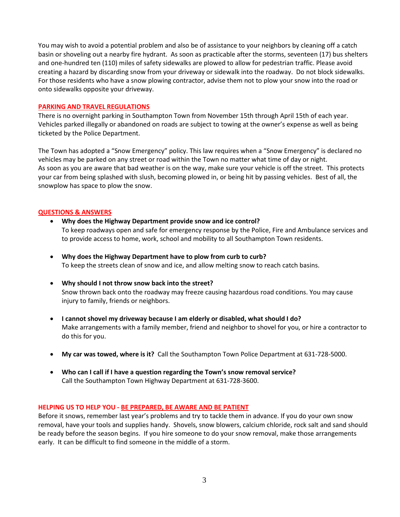You may wish to avoid a potential problem and also be of assistance to your neighbors by cleaning off a catch basin or shoveling out a nearby fire hydrant. As soon as practicable after the storms, seventeen (17) bus shelters and one-hundred ten (110) miles of safety sidewalks are plowed to allow for pedestrian traffic. Please avoid creating a hazard by discarding snow from your driveway or sidewalk into the roadway. Do not block sidewalks. For those residents who have a snow plowing contractor, advise them not to plow your snow into the road or onto sidewalks opposite your driveway.

### **PARKING AND TRAVEL REGULATIONS**

There is no overnight parking in Southampton Town from November 15th through April 15th of each year. Vehicles parked illegally or abandoned on roads are subject to towing at the owner's expense as well as being ticketed by the Police Department.

The Town has adopted a "Snow Emergency" policy. This law requires when a "Snow Emergency" is declared no vehicles may be parked on any street or road within the Town no matter what time of day or night. As soon as you are aware that bad weather is on the way, make sure your vehicle is off the street. This protects your car from being splashed with slush, becoming plowed in, or being hit by passing vehicles. Best of all, the snowplow has space to plow the snow.

## **QUESTIONS & ANSWERS**

- **Why does the Highway Department provide snow and ice control?** To keep roadways open and safe for emergency response by the Police, Fire and Ambulance services and to provide access to home, work, school and mobility to all Southampton Town residents.
- **Why does the Highway Department have to plow from curb to curb?** To keep the streets clean of snow and ice, and allow melting snow to reach catch basins.
- **Why should I not throw snow back into the street?** Snow thrown back onto the roadway may freeze causing hazardous road conditions. You may cause injury to family, friends or neighbors.
- **I cannot shovel my driveway because I am elderly or disabled, what should I do?** Make arrangements with a family member, friend and neighbor to shovel for you, or hire a contractor to do this for you.
- **My car was towed, where is it?** Call the Southampton Town Police Department at 631-728-5000.
- **Who can I call if I have a question regarding the Town's snow removal service?** Call the Southampton Town Highway Department at 631-728-3600.

## **HELPING US TO HELP YOU - BE PREPARED, BE AWARE AND BE PATIENT**

Before it snows, remember last year's problems and try to tackle them in advance. If you do your own snow removal, have your tools and supplies handy. Shovels, snow blowers, calcium chloride, rock salt and sand should be ready before the season begins. If you hire someone to do your snow removal, make those arrangements early. It can be difficult to find someone in the middle of a storm.